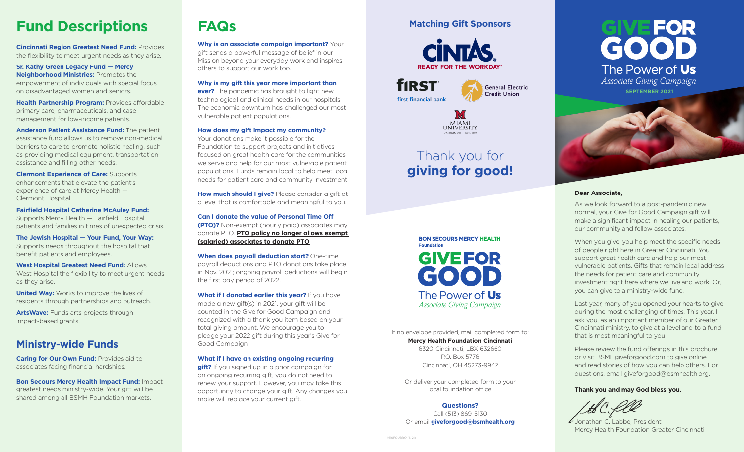# **Fund Descriptions**

**Cincinnati Region Greatest Need Fund:** Provides the flexibility to meet urgent needs as they arise.

**Sr. Kathy Green Legacy Fund — Mercy Neighborhood Ministries:** Promotes the empowerment of individuals with special focus on disadvantaged women and seniors.

**Health Partnership Program: Provides affordable** primary care, pharmaceuticals, and case management for low-income patients.

**Anderson Patient Assistance Fund:** The patient assistance fund allows us to remove non-medical barriers to care to promote holistic healing, such as providing medical equipment, transportation assistance and filling other needs.

**Clermont Experience of Care:** Supports enhancements that elevate the patient's experience of care at Mercy Health — Clermont Hospital.

**Fairfield Hospital Catherine McAuley Fund:**  Supports Mercy Health — Fairfield Hospital patients and families in times of unexpected crisis.

**The Jewish Hospital — Your Fund, Your Way:**  Supports needs throughout the hospital that benefit patients and employees.

**West Hospital Greatest Need Fund:** Allows West Hospital the flexibility to meet urgent needs as they arise.

**United Way:** Works to improve the lives of residents through partnerships and outreach.

**ArtsWave:** Funds arts projects through impact-based grants.

## **Ministry-wide Funds**

**Caring for Our Own Fund:** Provides aid to associates facing financial hardships.

**Bon Secours Mercy Health Impact Fund:** Impact greatest needs ministry-wide. Your gift will be shared among all BSMH Foundation markets.

# **FAQs**

**Why is an associate campaign important?** Your gift sends a powerful message of belief in our Mission beyond your everyday work and inspires others to support our work too.

**Why is my gift this year more important than ever?** The pandemic has brought to light new technological and clinical needs in our hospitals. The economic downturn has challenged our most vulnerable patient populations.

#### **How does my gift impact my community?**

Your donations make it possible for the Foundation to support projects and initiatives focused on great health care for the communities we serve and help for our most vulnerable patient populations. Funds remain local to help meet local needs for patient care and community investment.

**How much should I give?** Please consider a gift at a level that is comfortable and meaningful to you.

**Can I donate the value of Personal Time Off (PTO)?** Non-exempt (hourly paid) associates may donate PTO. **PTO policy no longer allows exempt (salaried) associates to donate PTO**.

**When does payroll deduction start?** One-time payroll deductions and PTO donations take place in Nov. 2021; ongoing payroll deductions will begin the first pay period of 2022.

**What if I donated earlier this year?** If you have made a new gift(s) in 2021, your gift will be counted in the Give for Good Campaign and recognized with a thank you item based on your total giving amount. We encourage you to pledge your 2022 gift during this year's Give for Good Campaign.

#### **What if I have an existing ongoing recurring**

**gift?** If you signed up in a prior campaign for an ongoing recurring gift, you do not need to renew your support. However, you may take this opportunity to change your gift. Any changes you make will replace your current gift.

#### **Matching Gift Sponsors**



**fIRST General Electric Credit Union** first financial bank



# Thank you for **giving for good!**



If no envelope provided, mail completed form to: **Mercy Health Foundation Cincinnati** 6320-Cincinnati, LBX 632660 P.O. Box 5776 Cincinnati, OH 45273-9942

Or deliver your completed form to your local foundation office.

#### **Questions?**

Call (513) 869-5130 Or email **giveforgood@bsmhealth.org**





#### **Dear Associate,**

As we look forward to a post-pandemic new normal, your Give for Good Campaign gift will make a significant impact in healing our patients, our community and fellow associates.

When you give, you help meet the specific needs of people right here in Greater Cincinnati. You support great health care and help our most vulnerable patients. Gifts that remain local address the needs for patient care and community investment right here where we live and work. Or, you can give to a ministry-wide fund.

Last year, many of you opened your hearts to give during the most challenging of times. This year, I ask you, as an important member of our Greater Cincinnati ministry, to give at a level and to a fund that is most meaningful to you.

Please review the fund offerings in this brochure or visit BSMHgiveforgood.com to give online and read stories of how you can help others. For questions, email giveforgood@bsmhealth.org.

#### **Thank you and may God bless you.**

Jonathan C. Labbe, President Mercy Health Foundation Greater Cincinnati